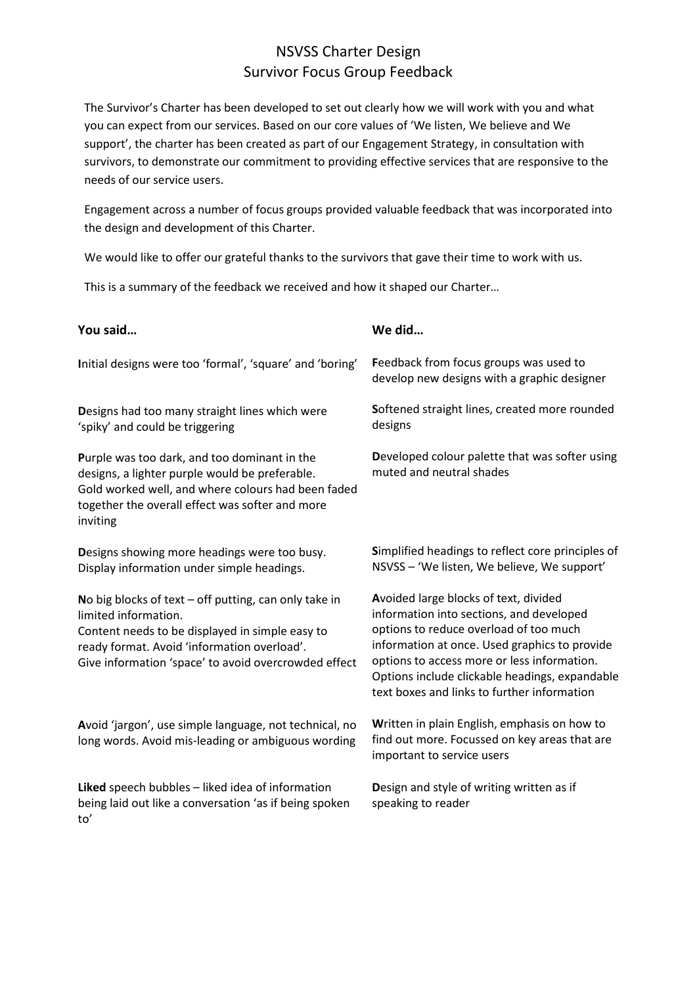## NSVSS Charter Design Survivor Focus Group Feedback

The Survivor's Charter has been developed to set out clearly how we will work with you and what you can expect from our services. Based on our core values of 'We listen, We believe and We support', the charter has been created as part of our Engagement Strategy, in consultation with survivors, to demonstrate our commitment to providing effective services that are responsive to the needs of our service users.

Engagement across a number of focus groups provided valuable feedback that was incorporated into the design and development of this Charter.

We would like to offer our grateful thanks to the survivors that gave their time to work with us.

This is a summary of the feedback we received and how it shaped our Charter…

| You said                                                                                                                                                                                                                                  | We did                                                                                                                                                                                                                                                                                                                       |
|-------------------------------------------------------------------------------------------------------------------------------------------------------------------------------------------------------------------------------------------|------------------------------------------------------------------------------------------------------------------------------------------------------------------------------------------------------------------------------------------------------------------------------------------------------------------------------|
| Initial designs were too 'formal', 'square' and 'boring'                                                                                                                                                                                  | Feedback from focus groups was used to<br>develop new designs with a graphic designer                                                                                                                                                                                                                                        |
| Designs had too many straight lines which were<br>'spiky' and could be triggering                                                                                                                                                         | Softened straight lines, created more rounded<br>designs                                                                                                                                                                                                                                                                     |
| Purple was too dark, and too dominant in the<br>designs, a lighter purple would be preferable.<br>Gold worked well, and where colours had been faded<br>together the overall effect was softer and more<br>inviting                       | Developed colour palette that was softer using<br>muted and neutral shades                                                                                                                                                                                                                                                   |
| Designs showing more headings were too busy.<br>Display information under simple headings.                                                                                                                                                | Simplified headings to reflect core principles of<br>NSVSS - 'We listen, We believe, We support'                                                                                                                                                                                                                             |
| No big blocks of text $-$ off putting, can only take in<br>limited information.<br>Content needs to be displayed in simple easy to<br>ready format. Avoid 'information overload'.<br>Give information 'space' to avoid overcrowded effect | Avoided large blocks of text, divided<br>information into sections, and developed<br>options to reduce overload of too much<br>information at once. Used graphics to provide<br>options to access more or less information.<br>Options include clickable headings, expandable<br>text boxes and links to further information |
| Avoid 'jargon', use simple language, not technical, no<br>long words. Avoid mis-leading or ambiguous wording                                                                                                                              | Written in plain English, emphasis on how to<br>find out more. Focussed on key areas that are<br>important to service users                                                                                                                                                                                                  |
| Liked speech bubbles - liked idea of information<br>being laid out like a conversation 'as if being spoken<br>to'                                                                                                                         | Design and style of writing written as if<br>speaking to reader                                                                                                                                                                                                                                                              |